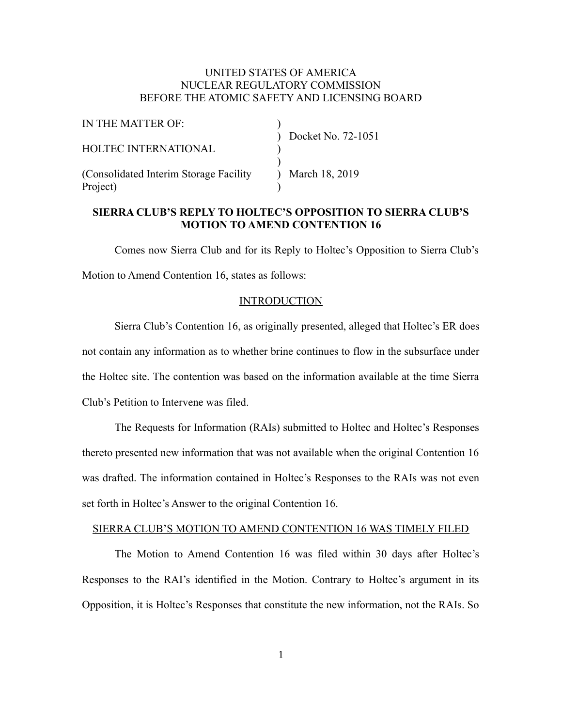## UNITED STATES OF AMERICA NUCLEAR REGULATORY COMMISSION BEFORE THE ATOMIC SAFETY AND LICENSING BOARD

| IN THE MATTER OF:                       |                    |
|-----------------------------------------|--------------------|
|                                         | Docket No. 72-1051 |
| <b>HOLTEC INTERNATIONAL</b>             |                    |
|                                         |                    |
| (Consolidated Interim Storage Facility) | March 18, 2019     |
| Project)                                |                    |

# **SIERRA CLUB'S REPLY TO HOLTEC'S OPPOSITION TO SIERRA CLUB'S MOTION TO AMEND CONTENTION 16**

Comes now Sierra Club and for its Reply to Holtec's Opposition to Sierra Club's Motion to Amend Contention 16, states as follows:

#### INTRODUCTION

Sierra Club's Contention 16, as originally presented, alleged that Holtec's ER does not contain any information as to whether brine continues to flow in the subsurface under the Holtec site. The contention was based on the information available at the time Sierra Club's Petition to Intervene was filed.

The Requests for Information (RAIs) submitted to Holtec and Holtec's Responses thereto presented new information that was not available when the original Contention 16 was drafted. The information contained in Holtec's Responses to the RAIs was not even set forth in Holtec's Answer to the original Contention 16.

#### SIERRA CLUB'S MOTION TO AMEND CONTENTION 16 WAS TIMELY FILED

The Motion to Amend Contention 16 was filed within 30 days after Holtec's Responses to the RAI's identified in the Motion. Contrary to Holtec's argument in its Opposition, it is Holtec's Responses that constitute the new information, not the RAIs. So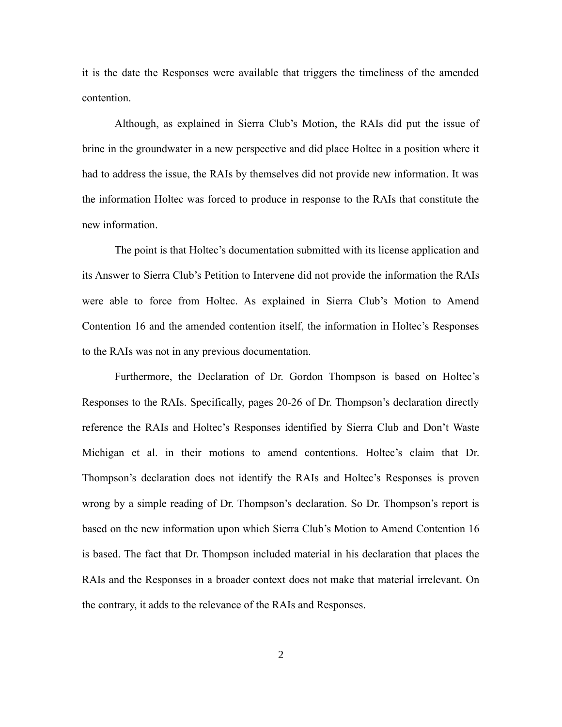it is the date the Responses were available that triggers the timeliness of the amended contention.

Although, as explained in Sierra Club's Motion, the RAIs did put the issue of brine in the groundwater in a new perspective and did place Holtec in a position where it had to address the issue, the RAIs by themselves did not provide new information. It was the information Holtec was forced to produce in response to the RAIs that constitute the new information.

The point is that Holtec's documentation submitted with its license application and its Answer to Sierra Club's Petition to Intervene did not provide the information the RAIs were able to force from Holtec. As explained in Sierra Club's Motion to Amend Contention 16 and the amended contention itself, the information in Holtec's Responses to the RAIs was not in any previous documentation.

Furthermore, the Declaration of Dr. Gordon Thompson is based on Holtec's Responses to the RAIs. Specifically, pages 20-26 of Dr. Thompson's declaration directly reference the RAIs and Holtec's Responses identified by Sierra Club and Don't Waste Michigan et al. in their motions to amend contentions. Holtec's claim that Dr. Thompson's declaration does not identify the RAIs and Holtec's Responses is proven wrong by a simple reading of Dr. Thompson's declaration. So Dr. Thompson's report is based on the new information upon which Sierra Club's Motion to Amend Contention 16 is based. The fact that Dr. Thompson included material in his declaration that places the RAIs and the Responses in a broader context does not make that material irrelevant. On the contrary, it adds to the relevance of the RAIs and Responses.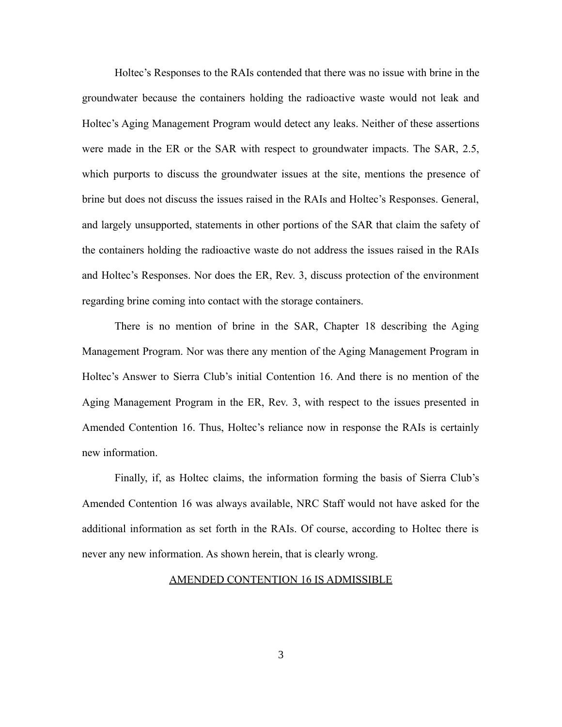Holtec's Responses to the RAIs contended that there was no issue with brine in the groundwater because the containers holding the radioactive waste would not leak and Holtec's Aging Management Program would detect any leaks. Neither of these assertions were made in the ER or the SAR with respect to groundwater impacts. The SAR, 2.5, which purports to discuss the groundwater issues at the site, mentions the presence of brine but does not discuss the issues raised in the RAIs and Holtec's Responses. General, and largely unsupported, statements in other portions of the SAR that claim the safety of the containers holding the radioactive waste do not address the issues raised in the RAIs and Holtec's Responses. Nor does the ER, Rev. 3, discuss protection of the environment regarding brine coming into contact with the storage containers.

There is no mention of brine in the SAR, Chapter 18 describing the Aging Management Program. Nor was there any mention of the Aging Management Program in Holtec's Answer to Sierra Club's initial Contention 16. And there is no mention of the Aging Management Program in the ER, Rev. 3, with respect to the issues presented in Amended Contention 16. Thus, Holtec's reliance now in response the RAIs is certainly new information.

Finally, if, as Holtec claims, the information forming the basis of Sierra Club's Amended Contention 16 was always available, NRC Staff would not have asked for the additional information as set forth in the RAIs. Of course, according to Holtec there is never any new information. As shown herein, that is clearly wrong.

#### AMENDED CONTENTION 16 IS ADMISSIBLE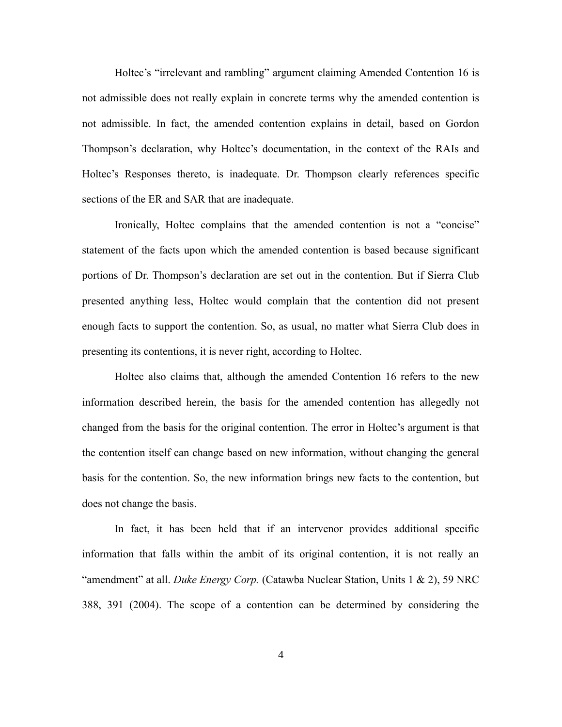Holtec's "irrelevant and rambling" argument claiming Amended Contention 16 is not admissible does not really explain in concrete terms why the amended contention is not admissible. In fact, the amended contention explains in detail, based on Gordon Thompson's declaration, why Holtec's documentation, in the context of the RAIs and Holtec's Responses thereto, is inadequate. Dr. Thompson clearly references specific sections of the ER and SAR that are inadequate.

Ironically, Holtec complains that the amended contention is not a "concise" statement of the facts upon which the amended contention is based because significant portions of Dr. Thompson's declaration are set out in the contention. But if Sierra Club presented anything less, Holtec would complain that the contention did not present enough facts to support the contention. So, as usual, no matter what Sierra Club does in presenting its contentions, it is never right, according to Holtec.

Holtec also claims that, although the amended Contention 16 refers to the new information described herein, the basis for the amended contention has allegedly not changed from the basis for the original contention. The error in Holtec's argument is that the contention itself can change based on new information, without changing the general basis for the contention. So, the new information brings new facts to the contention, but does not change the basis.

In fact, it has been held that if an intervenor provides additional specific information that falls within the ambit of its original contention, it is not really an "amendment" at all. *Duke Energy Corp.* (Catawba Nuclear Station, Units 1 & 2), 59 NRC 388, 391 (2004). The scope of a contention can be determined by considering the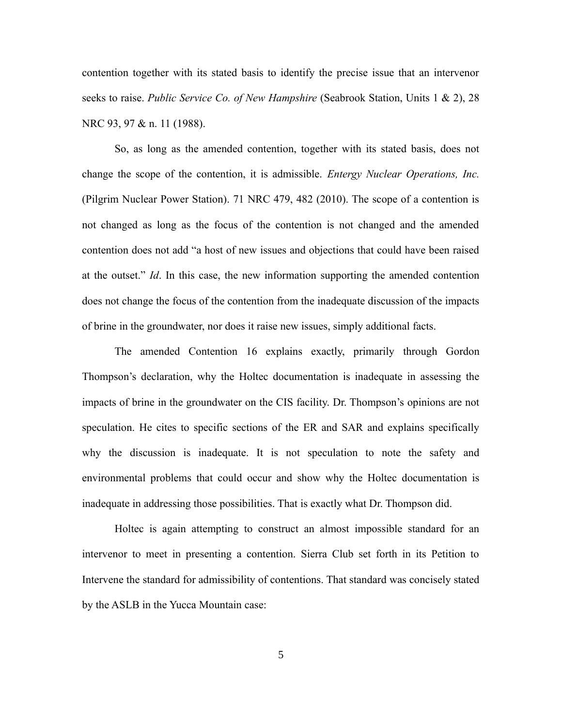contention together with its stated basis to identify the precise issue that an intervenor seeks to raise. *Public Service Co. of New Hampshire* (Seabrook Station, Units 1 & 2), 28 NRC 93, 97 & n. 11 (1988).

So, as long as the amended contention, together with its stated basis, does not change the scope of the contention, it is admissible. *Entergy Nuclear Operations, Inc.* (Pilgrim Nuclear Power Station). 71 NRC 479, 482 (2010). The scope of a contention is not changed as long as the focus of the contention is not changed and the amended contention does not add "a host of new issues and objections that could have been raised at the outset." *Id*. In this case, the new information supporting the amended contention does not change the focus of the contention from the inadequate discussion of the impacts of brine in the groundwater, nor does it raise new issues, simply additional facts.

The amended Contention 16 explains exactly, primarily through Gordon Thompson's declaration, why the Holtec documentation is inadequate in assessing the impacts of brine in the groundwater on the CIS facility. Dr. Thompson's opinions are not speculation. He cites to specific sections of the ER and SAR and explains specifically why the discussion is inadequate. It is not speculation to note the safety and environmental problems that could occur and show why the Holtec documentation is inadequate in addressing those possibilities. That is exactly what Dr. Thompson did.

Holtec is again attempting to construct an almost impossible standard for an intervenor to meet in presenting a contention. Sierra Club set forth in its Petition to Intervene the standard for admissibility of contentions. That standard was concisely stated by the ASLB in the Yucca Mountain case: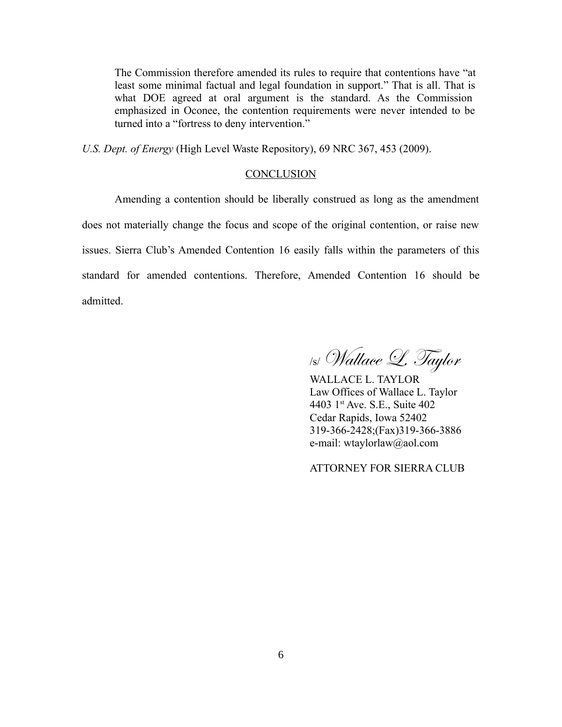The Commission therefore amended its rules to require that contentions have "at least some minimal factual and legal foundation in support." That is all. That is what DOE agreed at oral argument is the standard. As the Commission emphasized in Oconee, the contention requirements were never intended to be turned into a "fortress to deny intervention."

*U.S. Dept. of Energy* (High Level Waste Repository), 69 NRC 367, 453 (2009).

### **CONCLUSION**

Amending a contention should be liberally construed as long as the amendment does not materially change the focus and scope of the original contention, or raise new issues. Sierra Club's Amended Contention 16 easily falls within the parameters of this standard for amended contentions. Therefore, Amended Contention 16 should be admitted.

/s/ Wallace L. Taylor

WALLACE L. TAYLOR Law Offices of Wallace L. Taylor 4403 1st Ave. S.E., Suite 402 Cedar Rapids, Iowa 52402 319-366-2428;(Fax)319-366-3886 e-mail: wtaylorlaw@aol.com

ATTORNEY FOR SIERRA CLUB